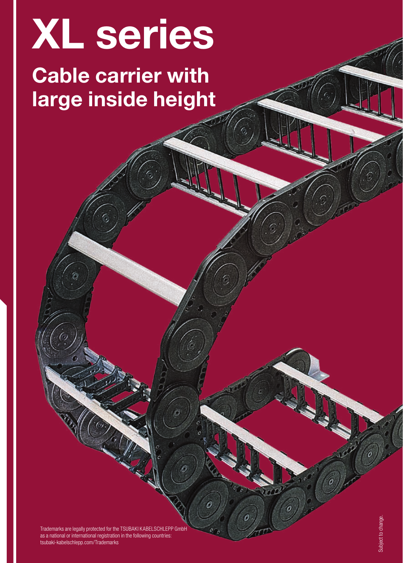# XL series

## Cable carrier with large inside height

Trademarks are legally protected for the TSUBAKI KABELSCHLEPP GmbH as a national or international registration in the following countries: tsubaki-kabelschlepp.com/Trademarks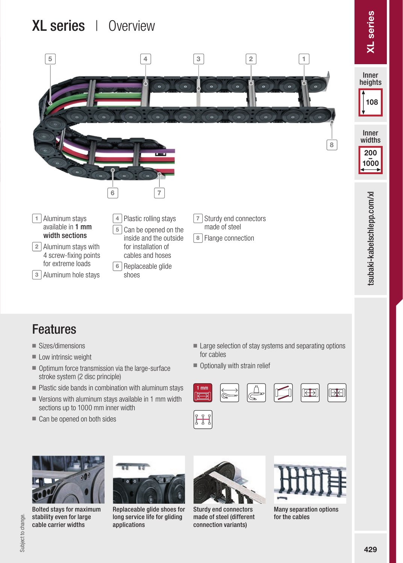## XL series | Overview



- Sizes/dimensions
- Low intrinsic weight
- Optimum force transmission via the large-surface stroke system (2 disc principle)
- Plastic side bands in combination with aluminum stays
- Versions with aluminum stays available in 1 mm width sections up to 1000 mm inner width
- Can be opened on both sides
- Large selection of stay systems and separating options for cables
- Optionally with strain relief











Replaceable glide shoes for long service life for gliding applications



Sturdy end connectors made of steel (different connection variants)



Many separation options for the cables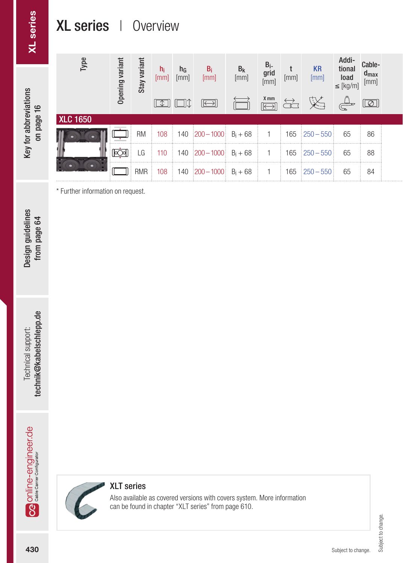## XL series | Overview

**XL** series

Key for abbreviations on page 16

Key for abbreviations

| $\omega$<br>Гyр | varian<br>Opening | variar<br>Stay | $n_i$<br>[mm] | $n_{G}$<br>[mm]<br>$\Box$ $\Box$ $\uparrow$ | $B_i$<br>[mm]<br>$\boxed{\ominus}$                              | $B_{k}$<br>[mm] | $B_i$<br>grid<br>[mm]<br>$X$ mm | [mm]<br>$\overleftrightarrow{\text{C}}$ | <b>KR</b><br>[mm]<br>义                   | Addi-<br>tional<br>load<br>$\leq$ [kg/m] | Cable-<br>$a_{\text{max}}$<br>[mm]<br>$\boxed{\textcircled{2}}$ |  |
|-----------------|-------------------|----------------|---------------|---------------------------------------------|-----------------------------------------------------------------|-----------------|---------------------------------|-----------------------------------------|------------------------------------------|------------------------------------------|-----------------------------------------------------------------|--|
| <b>XLC 1650</b> |                   |                |               |                                             |                                                                 |                 |                                 |                                         |                                          |                                          |                                                                 |  |
|                 | ञ्जि              | <b>RM</b>      |               |                                             | 108 140 200 - 1000 $B_i + 68$<br>LG 110 140 200-1000 $B_i + 68$ |                 |                                 | 165                                     | $165 \div 250 - 550 \div$<br>$250 - 550$ | 65<br>65                                 | 86<br>88                                                        |  |
|                 |                   |                |               |                                             | RMR 108 140 200-1000 $B_i + 68$                                 |                 |                                 | 165                                     | $250 - 550$                              | 65                                       | 84                                                              |  |

\* Further information on request.

Design guidelines<br>from page 64 Design guidelines from page 64

technik@kabelschlepp.de technik@kabelschlepp.de Technical support: Technical support:

**43 Alline-**engineer.de rechines lecning support:<br>المقدم المقدم المقدمة المقدمة المقدمة المقدمة المقدمة المقدمة المقدمة المقدمة المقدمة المقدمة المقدمة المقدمة<br>المقدمة المقدمة المقدمة المقدمة المقدمة المقدمة المقدمة المقد Og online-engineer.de



#### XLT series

Also available as covered versions with covers system. More information can be found in chapter "XLT series" from page 610.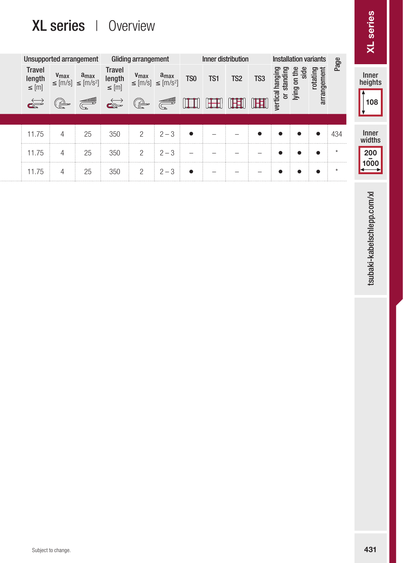## XL series | Overview

|                                                                                                                                        |                                       |                                                                                                                                                  | XL series   Overview                                                                                          |                                                        |                                                                                          |                                                    |                                                      |                                                                                                                                                                                                                                                                                                                                                                        |                 |                                     |                                                      |                                     |                                          | <b>XL</b> series                                                            |
|----------------------------------------------------------------------------------------------------------------------------------------|---------------------------------------|--------------------------------------------------------------------------------------------------------------------------------------------------|---------------------------------------------------------------------------------------------------------------|--------------------------------------------------------|------------------------------------------------------------------------------------------|----------------------------------------------------|------------------------------------------------------|------------------------------------------------------------------------------------------------------------------------------------------------------------------------------------------------------------------------------------------------------------------------------------------------------------------------------------------------------------------------|-----------------|-------------------------------------|------------------------------------------------------|-------------------------------------|------------------------------------------|-----------------------------------------------------------------------------|
| <b>Unsupported arrangement</b><br><b>Travel</b><br>$\begin{array}{ll} \mathsf{length} \\ \leq [m] \end{array}$<br>$\overrightarrow{c}$ | (C)                                   | $\begin{array}{ll}\n\textbf{V}_{\text{max}} & \textbf{a}_{\text{max}} \\ \leq [m/s] & \leq [m/s^2]\n\end{array}$<br>$\overbrace{\mathbb{G}}^{3}$ | <b>Travel</b><br>$\begin{array}{ll} \mathsf{length} \\ \leq [m] \end{array}$<br>$\overrightarrow{\mathbf{G}}$ | Gliding arrangement<br>$v_{max}$<br>$\leq$ [m/s]<br>(a | $a_{max}$<br>$\leq$ [m/s <sup>2</sup> ]<br>$\overbrace{\mathbb{G}}^{\mathsf{cond00000}}$ | TS <sub>0</sub><br>$\mathbb{H}$                    | Inner distribution<br>TS1<br>$\mathbb{H}$            | TS <sub>2</sub><br>$\begin{picture}(20,20) \put(0,0){\line(1,0){10}} \put(15,0){\line(1,0){10}} \put(15,0){\line(1,0){10}} \put(15,0){\line(1,0){10}} \put(15,0){\line(1,0){10}} \put(15,0){\line(1,0){10}} \put(15,0){\line(1,0){10}} \put(15,0){\line(1,0){10}} \put(15,0){\line(1,0){10}} \put(15,0){\line(1,0){10}} \put(15,0){\line(1,0){10}} \put(15,0){\line(1$ | TS3<br>咀        | vertical hanging<br>or standing     | <b>Installation variants</b><br>lying on the<br>side | rotating<br>arrangement             | Page                                     | Inner<br>heights<br>108                                                     |
| 11.75<br>11.75<br>11.75                                                                                                                | $\overline{4}$<br>$\overline{4}$<br>4 | 25<br>25<br>$25\,$                                                                                                                               | 350<br>350<br>350                                                                                             | $\mathbf{2}$<br>$\mathbf{2}$<br>$\overline{c}$         | $2 - 3$<br>$2 - 3$<br>$2 - 3$                                                            | $\bullet$<br>$\overline{\phantom{a}}$<br>$\bullet$ | $\overline{\phantom{a}}$<br>$\overline{\phantom{a}}$ |                                                                                                                                                                                                                                                                                                                                                                        | $\bullet$<br>L. | $\bullet$<br>$\bullet$<br>$\bullet$ | $\bullet$<br>$\bullet$<br>$\bullet$                  | $\bullet$<br>$\bullet$<br>$\bullet$ | 434<br><br>$\star$<br>$\star$<br>1.1.1.1 | Inner<br>widths<br>$\begin{array}{c}\n 200 \\  \hline\n 1000\n \end{array}$ |
|                                                                                                                                        |                                       |                                                                                                                                                  |                                                                                                               |                                                        |                                                                                          |                                                    |                                                      |                                                                                                                                                                                                                                                                                                                                                                        |                 |                                     |                                                      |                                     |                                          | tsubaki-kabelschlepp.com/xl                                                 |
|                                                                                                                                        |                                       |                                                                                                                                                  |                                                                                                               |                                                        |                                                                                          |                                                    |                                                      |                                                                                                                                                                                                                                                                                                                                                                        |                 |                                     |                                                      |                                     |                                          |                                                                             |
|                                                                                                                                        |                                       |                                                                                                                                                  |                                                                                                               |                                                        |                                                                                          |                                                    |                                                      |                                                                                                                                                                                                                                                                                                                                                                        |                 |                                     |                                                      |                                     |                                          |                                                                             |
|                                                                                                                                        | Subject to change.                    |                                                                                                                                                  |                                                                                                               |                                                        |                                                                                          |                                                    |                                                      |                                                                                                                                                                                                                                                                                                                                                                        |                 |                                     |                                                      |                                     |                                          | 431                                                                         |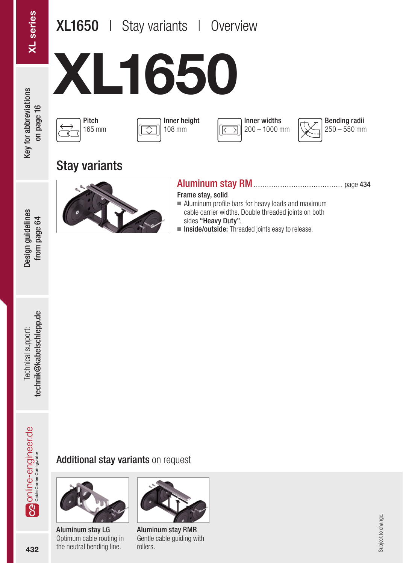## XL1650 | Stay variants | Overview

XL1650

**Key for abbreviations** on page 16

Design guidelines from page 64









Stay variants



#### Aluminum stay RM................................................. page 434

Frame stay, solid

- Aluminum profile bars for heavy loads and maximum cable carrier widths. Double threaded joints on both sides "Heavy Duty".
- Inside/outside: Threaded joints easy to release.





Aluminum stay LG Optimum cable routing in the neutral bending line.



Aluminum stay RMR Gentle cable guiding with rollers.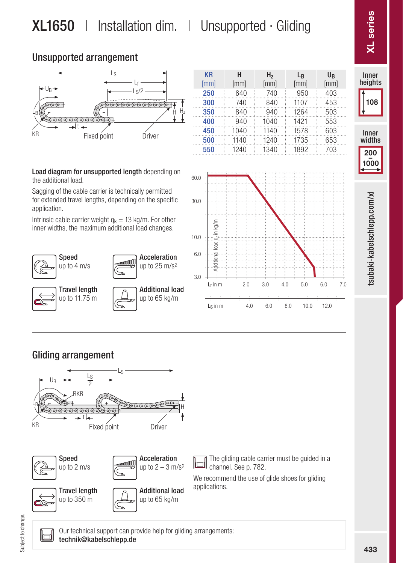## XL1650 | Installation dim. | Unsupported · Gliding

KR

H

#### Unsupported arrangement



|      |      | ,    | --   | ັັ   |  |
|------|------|------|------|------|--|
| [mm] | [mm] | [mm] | [mm] | [mm] |  |
| 250  | 640  | 740  | 950  | 403  |  |
| 300  | 740  | 840  | 1107 | 453  |  |
| 350  | 840  | 940  | 1264 | 503  |  |
| 400  | 940  | 1040 | 1421 | 553  |  |
| 450  | 1040 | 1140 | 1578 | 603  |  |
| 500  | 1140 | 1240 | 1735 | 653  |  |
| 550  | 1240 | 1340 | 1892 | 703  |  |
|      |      |      |      |      |  |

 $H<sub>-</sub>$ 

L<sub>B</sub>

 $H_{\rm B}$ 

Load diagram for unsupported length depending on the additional load.

Sagging of the cable carrier is technically permitted for extended travel lengths, depending on the specific application.

Intrinsic cable carrier weight  $q_k = 13$  kg/m. For other inner widths, the maximum additional load changes.





Inner heights widths and the series of the series of the series of the series of the series of the series of the series of the series of the series of the series of the series of the series of the series of the series of the series of t 108

**KL** series



tsubaki-kabelschlepp.com/xl 433tsubaki-kabelschlepp.com/xl

#### Gliding arrangement





Our technical support can provide help for gliding arrangements: technik@kabelschlepp.de

433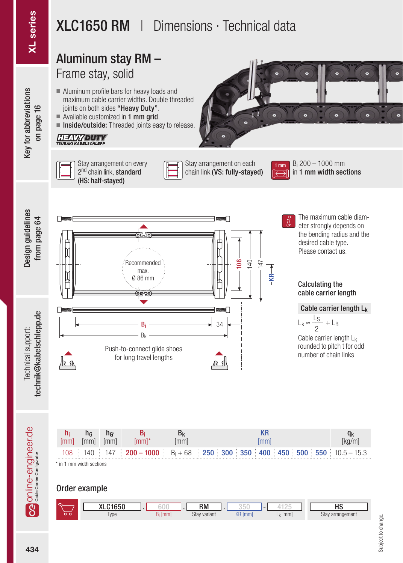Key for abbreviations

## XLC1650 RM | Dimensions · Technical data

#### technik@kabelschlepp.de XL series Design guidelines from page 64 Key for abbreviations on page 16 Aluminum stay RM – Frame stay, solid ■ Aluminum profile bars for heavy loads and maximum cable carrier widths. Double threaded on page 16 joints on both sides "Heavy Duty".  $\blacksquare$  Available customized in 1 mm grid. ■ Inside/outside: Threaded joints easy to release. **HEAVYDUTY** Stay arrangement on every Stay arrangement on each Bi 200 – 1000 mm 1 mm li, 2<sup>nd</sup> chain link, **standard** in 1 mm width sections chain link (VS: fully-staved) (HS: half-stayed) The maximum cable diamfrom page 64 eter strongly depends on the bending radius and the desired cable type. Please contact us. 108 Recommended 140 147  $-KR \rightarrow$ max. Ø 86 mm Calculating the cable carrier length Cable carrier length Lk technik@kabelschlepp.de  $L_k \approx \frac{L_S}{2} + L_B$  $B_i$  34 2 Bk Cable carrier length L<sub>k</sub> rounded to pitch t for odd Push-to-connect glide shoes number of chain links for long travel lengths ∕եո ∧ล ร1 **Ca** online-engineer.de hi h<sub>G</sub>  $h<sub>G</sub>$ Bi Bk KR qk [mm] [mm] [kg/m] [mm] [mm] [mm] [mm]\*

\* in 1 mm width sections

108 140 147 200 – 1000 Bi + 68

#### Order example



 $250 \div 300 \div 350 \div 400 \div 450 \div 500 \div 550 \div 10.5 - 15.3$ 

434

Technical support:

Technical support:

Design guidelines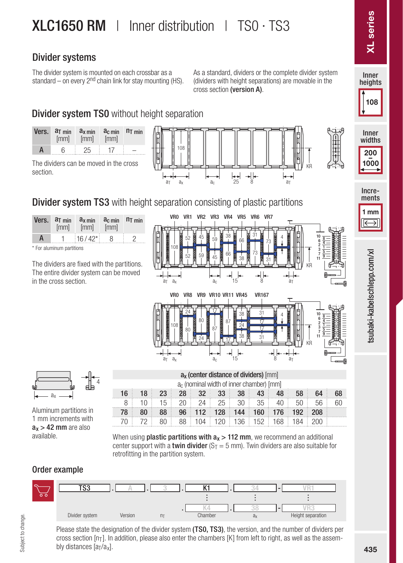#### Divider systems

The divider system is mounted on each crossbar as a standard – on every  $2<sup>nd</sup>$  chain link for stay mounting (HS). As a standard, dividers or the complete divider system (dividers with height separations) are movable in the cross section (version A).

### **Divider system TS0** without height separation

| Vers. | $aT$ min<br>[mm] | $ax$ min<br>[mm] | $ac$ min $nT$ min<br>[mm] |  |
|-------|------------------|------------------|---------------------------|--|
| A     | 6.               | 25               |                           |  |

The dividers can be moved in the cross section.





 $a_{x}$ 

a<sub>T</sub>



\* For aluminum partitions

The dividers are fixed with the partitions. The entire divider system can be moved in the cross section.



 $a_1$ 

8



Aluminum partitions in 1 mm increments with  $a_x > 42$  mm are also<br>available

|  |  | $16$ $18$ $23$ $28$ $32$ $33$ $38$ $43$ $48$ $58$ $64$ $68$ |  |  |  |  |
|--|--|-------------------------------------------------------------|--|--|--|--|
|  |  | 8   10   15   20   24   25   30   35   40   50   56   60    |  |  |  |  |
|  |  | 78 80 88 96 112 128 144 160 176 192 208                     |  |  |  |  |

a<sub>x</sub> (center distance of dividers) [mm] ac (nominal width of inner chamber) [mm]

15

 $a<sub>c</sub>$ 

When using **plastic partitions with**  $a_x > 112$  **mm**, we recommend an additional center support with a **twin divider** ( $S_T = 5$  mm). Twin dividers are also suitable for retrofitting in the partition system.

70 72 80 88 104 120 136 152 168 184 200

#### Order example



Please state the designation of the divider system (TS0, TS3), the version, and the number of dividers per cross section  $[n_T]$ . In addition, please also enter the chambers  $[K]$  from left to right, as well as the assembly distances  $[a_T/a_x]$ .

Inner heights

**L** series

Inner widths

200 – <sup>1000</sup>

ments<br>
ments<br>
ments<br>
ments<br>
ments<br>
ments<br>
ments<br>
ments<br>
ments<br>
ments<br>
ments<br>
ments<br>
ments<br>
ments<br>
ments<br>
ments<br>
ments<br>
ments<br>
ments<br>
ments<br>
ments<br>
ments<br>
ments<br>
ments<br>
ments<br>
ments<br>
ments<br>
ments<br>
ments<br>
ments<br>
ments<br>
ments

108

Incre-

1 mm

isubaki-kabelschlepp.com/xl

习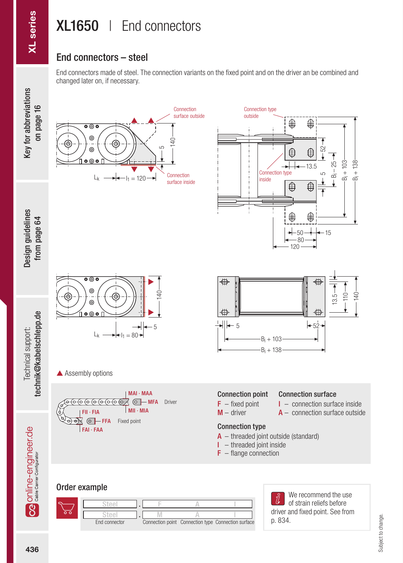## XL1650 | End connectors

#### End connectors – steel

End connectors made of steel. The connection variants on the fixed point and on the driver an be combined and changed later on, if necessary.



Technical support:

Technical support:

Design guidelines

p. 834.